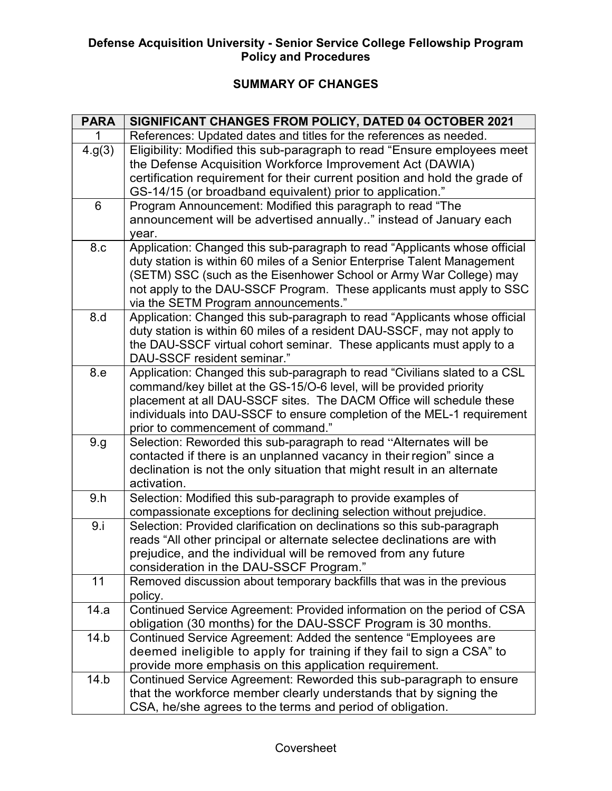# Defense Acquisition University - Senior Service College Fellowship Program Defense Acquisition University - Senior Service College Fellowship Program<br>Policy and Procedures

# SUMMARY OF CHANGES

| <b>PARA</b> | SIGNIFICANT CHANGES FROM POLICY, DATED 04 OCTOBER 2021                                                                                                                                                                                                                                                                                        |
|-------------|-----------------------------------------------------------------------------------------------------------------------------------------------------------------------------------------------------------------------------------------------------------------------------------------------------------------------------------------------|
|             | References: Updated dates and titles for the references as needed.                                                                                                                                                                                                                                                                            |
| 4.9(3)      | Eligibility: Modified this sub-paragraph to read "Ensure employees meet<br>the Defense Acquisition Workforce Improvement Act (DAWIA)<br>certification requirement for their current position and hold the grade of<br>GS-14/15 (or broadband equivalent) prior to application."                                                               |
| 6           | Program Announcement: Modified this paragraph to read "The<br>announcement will be advertised annually" instead of January each<br>year.                                                                                                                                                                                                      |
| 8.c         | Application: Changed this sub-paragraph to read "Applicants whose official<br>duty station is within 60 miles of a Senior Enterprise Talent Management<br>(SETM) SSC (such as the Eisenhower School or Army War College) may<br>not apply to the DAU-SSCF Program. These applicants must apply to SSC<br>via the SETM Program announcements." |
| 8.d         | Application: Changed this sub-paragraph to read "Applicants whose official<br>duty station is within 60 miles of a resident DAU-SSCF, may not apply to<br>the DAU-SSCF virtual cohort seminar. These applicants must apply to a<br>DAU-SSCF resident seminar."                                                                                |
| 8.e         | Application: Changed this sub-paragraph to read "Civilians slated to a CSL<br>command/key billet at the GS-15/O-6 level, will be provided priority<br>placement at all DAU-SSCF sites. The DACM Office will schedule these<br>individuals into DAU-SSCF to ensure completion of the MEL-1 requirement<br>prior to commencement of command."   |
| 9.g.        | Selection: Reworded this sub-paragraph to read "Alternates will be<br>contacted if there is an unplanned vacancy in their region" since a<br>declination is not the only situation that might result in an alternate<br>activation.                                                                                                           |
| 9.h         | Selection: Modified this sub-paragraph to provide examples of<br>compassionate exceptions for declining selection without prejudice.                                                                                                                                                                                                          |
| 9.1         | Selection: Provided clarification on declinations so this sub-paragraph<br>reads "All other principal or alternate selectee declinations are with<br>prejudice, and the individual will be removed from any future<br>consideration in the DAU-SSCF Program."                                                                                 |
| 11          | Removed discussion about temporary backfills that was in the previous<br>policy.                                                                                                                                                                                                                                                              |
| 14.a        | Continued Service Agreement: Provided information on the period of CSA<br>obligation (30 months) for the DAU-SSCF Program is 30 months.                                                                                                                                                                                                       |
| 14.b        | Continued Service Agreement: Added the sentence "Employees are<br>deemed ineligible to apply for training if they fail to sign a CSA" to<br>provide more emphasis on this application requirement.                                                                                                                                            |
| 14.b        | Continued Service Agreement: Reworded this sub-paragraph to ensure<br>that the workforce member clearly understands that by signing the<br>CSA, he/she agrees to the terms and period of obligation.                                                                                                                                          |
|             | Coversheet                                                                                                                                                                                                                                                                                                                                    |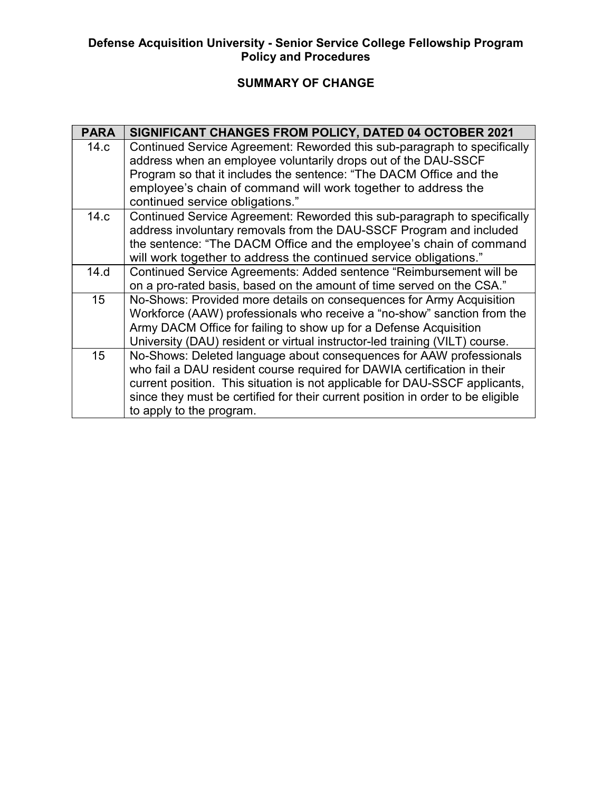# Defense Acquisition University - Senior Service College Fellowship Program Policy and Procedures

# SUMMARY OF CHANGE

|                          | <b>Policy and Procedures</b>                                                                                                                    |  |
|--------------------------|-------------------------------------------------------------------------------------------------------------------------------------------------|--|
| <b>SUMMARY OF CHANGE</b> |                                                                                                                                                 |  |
| <b>PARA</b>              | SIGNIFICANT CHANGES FROM POLICY, DATED 04 OCTOBER 2021                                                                                          |  |
| 14.c                     | Continued Service Agreement: Reworded this sub-paragraph to specifically                                                                        |  |
|                          | address when an employee voluntarily drops out of the DAU-SSCF                                                                                  |  |
|                          | Program so that it includes the sentence: "The DACM Office and the                                                                              |  |
|                          | employee's chain of command will work together to address the                                                                                   |  |
|                          | continued service obligations."                                                                                                                 |  |
| 14.c                     | Continued Service Agreement: Reworded this sub-paragraph to specifically                                                                        |  |
|                          | address involuntary removals from the DAU-SSCF Program and included                                                                             |  |
|                          | the sentence: "The DACM Office and the employee's chain of command<br>will work together to address the continued service obligations."         |  |
| 14.d                     | Continued Service Agreements: Added sentence "Reimbursement will be                                                                             |  |
|                          | on a pro-rated basis, based on the amount of time served on the CSA."                                                                           |  |
| 15                       | No-Shows: Provided more details on consequences for Army Acquisition                                                                            |  |
|                          | Workforce (AAW) professionals who receive a "no-show" sanction from the                                                                         |  |
|                          | Army DACM Office for failing to show up for a Defense Acquisition                                                                               |  |
|                          | University (DAU) resident or virtual instructor-led training (VILT) course.                                                                     |  |
| 15                       | No-Shows: Deleted language about consequences for AAW professionals<br>who fail a DAU resident course required for DAWIA certification in their |  |
|                          | current position. This situation is not applicable for DAU-SSCF applicants,                                                                     |  |
|                          | since they must be certified for their current position in order to be eligible                                                                 |  |
|                          | to apply to the program.                                                                                                                        |  |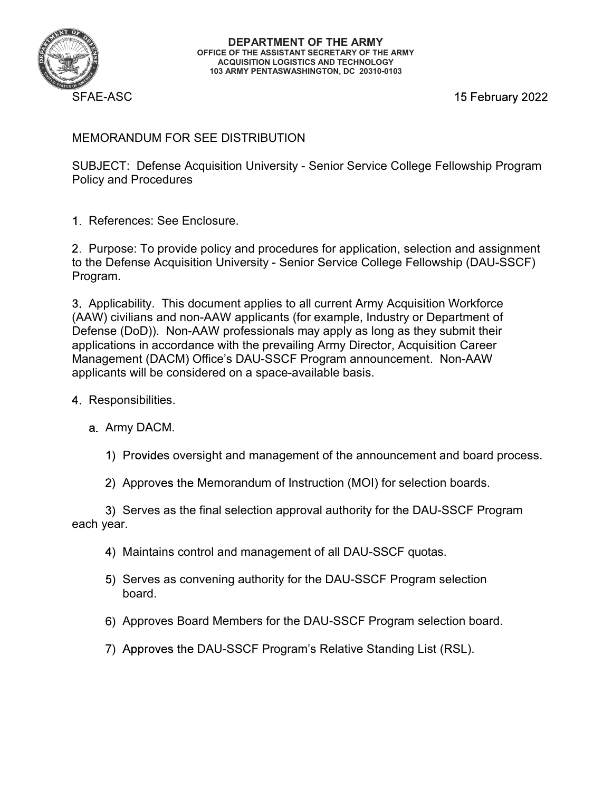

15 February 2022

# MEMORANDUM FOR SEE DISTRIBUTION

SUBJECT: Defense Acquisition University - Senior Service College Fellowship Program Policy and Procedures

References: See Enclosure.

Purpose: To provide policy and procedures for application, selection and assignment to the Defense Acquisition University - Senior Service College Fellowship (DAU-SSCF) Program.

Applicability. This document applies to all current Army Acquisition Workforce (AAW) civilians and non-AAW applicants (for example, Industry or Department of Defense (DoD)). Non-AAW professionals may apply as long as they submit their applications in accordance with the prevailing Army Director, Acquisition Career Management (DACM) Office's DAU-SSCF Program announcement. Non-AAW applicants will be considered on a space-available basis.

- 4 Responsibilities.
	- a. Army DACM.
		- 1) Provides oversight and management of the announcement and board process.
		- 2) Approves the Memorandum of Instruction (MOI) for selection boards.

3) Serves as the final selection approval authority for the DAU-SSCF Program each year.

- 4) Maintains control and management of all DAU-SSCF quotas.
- 5) Serves as convening authority for the DAU-SSCF Program selection board.
- Approves Board Members for the DAU-SSCF Program selection board.
- 7) Approves the DAU-SSCF Program's Relative Standing List (RSL).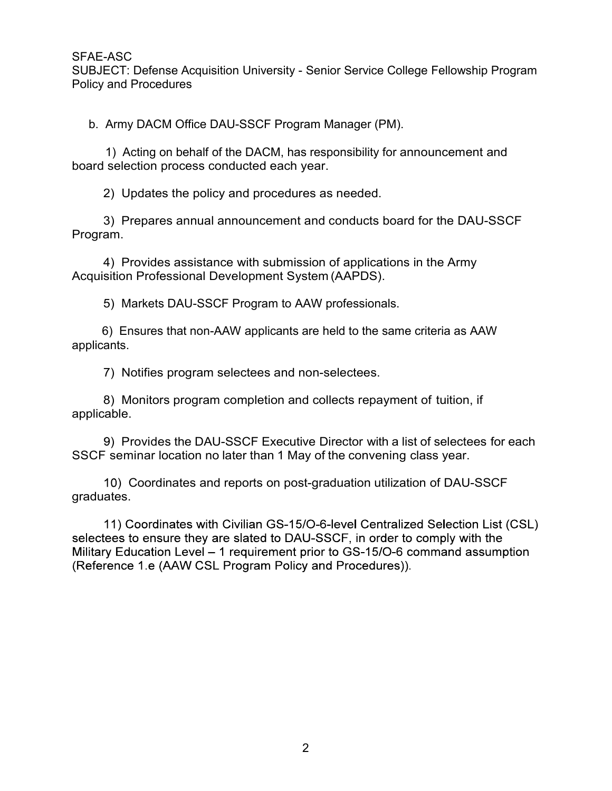SUBJECT: Defense Acquisition University - Senior Service College Fellowship Program Policy and Procedures AE-ASC<br>BJECT: Defense Acquisition University - Senior Service College Fellowship Program<br>icy and Procedures<br>b. Army DACM Office DAU-SSCF Program Manager (PM).<br>1) Acting on behalf of the DACM, has responsibility for announc 1) Acting on behalf of the DACM, has responsibility on announcement and<br>
1) Acting on behalf of the DACM, has responsibility for announcement and<br>
1) Acting on behalf of the DACM, has responsibility for announcement and<br>
1 3)<br>2) Prepares Acquisition University - Senior Service College Fellowship Program<br>3) Acting on behalf of the DACM, has responsibility for announcement and<br>3) Acting on behalf of the DACM, has responsibility for announcemen 4) Provides assistance with submission of applicationals.<br>
Army DACM Office DAU-SSCF Program Manager (PM).<br>
1) Acting on behalf of the DACM, has responsibility for announcement and<br>
selection process conducted each year.<br>

board selection process conducted each year. 2) Defense Acquisition University - Senior Service College Fellows<br>
2) Army DACM Office DAU-SSCF Program Manager (PM).<br>
2) Acting on behalf of the DACM, has responsibility for announceme<br>
2) Updates the policy and procedur Army DACM Office DAU-SSCF Program Manager (PM).<br>
1) Acting on behalf of the DACM, has responsibility for announcement<br>
selection process conducted each year.<br>
2) Updates the policy and procedures as needed.<br>
3) Prepares an

Program. ECT. Detersts Acquisition University - Senior Service College Pellowship Program<br>
and Procedures<br>
Army DACM Office DAU-SSCF Program Manager (PM).<br>
1) Acting on behalf of the DACM, has responsibility for announcement and<br>
s

Acquisition Professional Development System (AAPDS).

5) Markets DAU-SSCF Program to AAW professionals.

applicants.

applicable.

1) Acting on behalf of the DACM, has responsibility for announcement and<br>selection process conducted each year.<br>2) Updates the policy and procedures as needed.<br>3) Prepares annual announcement and conducts board for the DAU ) Updates the policy and procedures as needed.<br>
2) Prepares annual announcement and conducts board for the DAU-SSCF<br>
2000<br>
2) Provides assistance with submission of applications in the Army<br>
2) Provides assistance with sub SSCF seminar location no later than 1 May of the convening class year.

graduates.

repares annuar announcement and conducts board for the DAO-SSCH<br>
Provides assistance with submission of applications in the Army<br>
ion Professional Development System (AAPDS).<br>
Markets DAU-SSCF Program to AAW professionals. (Reference 1.e (AAW CSL Program Policy and Procedures)).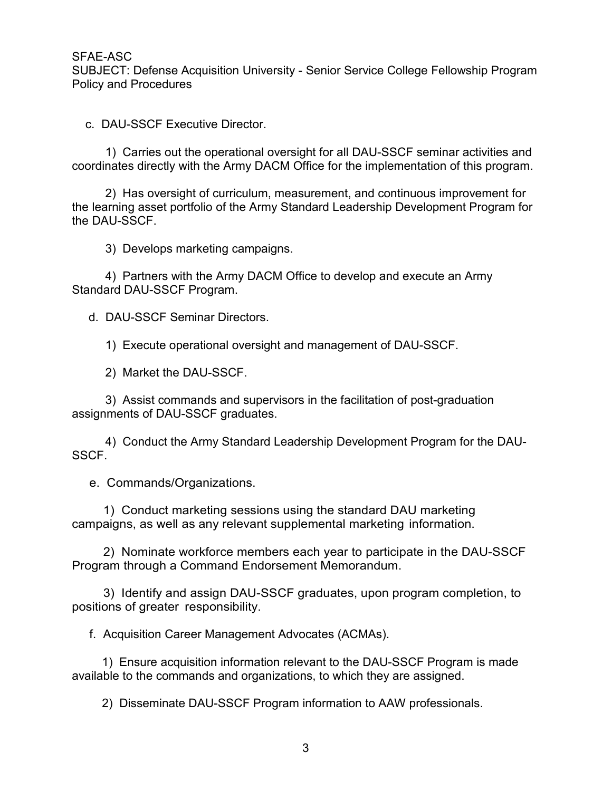SUBJECT: Defense Acquisition University - Senior Service College Fellowship Program Policy and Procedures

EAE-ASC<br>
CHE-ASC<br>
CHE-ASC<br>
CHE-ASCF Executive Director.<br>
C. DAU-SSCF Executive Director.<br>
1) Carries out the operational oversight for all DAU-SSCF seminar activit<br>
Doctinates directly with the Army DACM Office for the imp coordinates directly with the Army DACM Office for the implementation of this program.

1)<br>1997 - Lefense Acquisition University - Senior Service College Fellowship Program<br>1) Carries out the operational oversight for all DAU-SSCF seminar activities and<br>1) Carries out the operational oversight for all DAU-SSC ASC<br>2) ECT: Defense Acquisition University - Senior Service College Fellowship Program<br>and Procedures<br>2) AU-SSCF Executive Director.<br>1) Carries out the operational oversight for all DAU-SSCF seminar activities and<br>nates di the learning asset portfolio of the Army Standard Leadership Development Program for the DAU-SSCF. ASC<br>
ECT: Defense Acquisition University - Senior Service College Fell<br>
and Procedures<br>
DAU-SSCF Executive Director.<br>
1) Carries out the operational oversight for all DAU-SSCF seminates directly with the Army DACM Office f ASC<br>
FCT: Defense Acquisition University - Senior Service College Fellowship Program<br>
and Procedures<br>
ANU-SSCF Executive Director.<br>
1) Carries out the operational oversight for all DAU-SSCF seminar activities and<br>
anates d ALTERT: Defense Acquisition University - Senior Service College INDECT: Defense Acquisition University - Senior Service College I<br>
2. DAU-SSCF Executive Director.<br>
1) Carries out the operational oversight for all DAU-SSCF 2) AU-SSCF Executive Director.<br>
1) Carries out the operational oversight for all DAU-SSCF seminar activities and<br>
nates directly with the Army DACM Office for the implementation of this program.<br>
2) Has oversight of curric DAU-SSCF Executive Director.<br>
2) Carries out the operational oversight for all DAU-SSCF seminates directly with the Army DACM Office for the implementation<br>
2) Has oversight of curriculum, measurement, and continuous im<br>
2 1) Carries out the operational oversight for all DAU-SSCF seminar activities and<br>nates directly with the Army DACM Office for the implementation of this program.<br>2) Has oversight of curriculum, measurement, and continuous 1999 Has oversight of curriculum, measurement, and continuous improvement for the Army Standard Leadership Development Program for Army SSCF.<br>
1999 Develops marketing campaigns.<br>
1999 Develops marketing campaigns.<br>
1999 De

Standard DAU-SSCF Program.

assignments of DAU-SSCF graduates.

SSCF. Solon Solon States and Specifical Commands.<br>
4) Partners with the Army DACM Office to develop and executed and DAU-SSCF Program.<br>
4. DAU-SSCF Seminar Directors.<br>
1) Execute operational oversight and management of DAU-SSC<br> 3) Develops manketing campagnis.<br>
4) Partners with the Army DACM Office to develop and execute an Army<br>
and DAU-SSCF Program.<br>
1) Execute operational oversight and management of DAU-SSCF.<br>
2) Market the DAU-SSCF.<br>
3) Assis 2) Depresenting Date of DAU-SSCF Seminar Directors.<br>
2) Decute operational oversight and management of DAU-SSCF.<br>
2) Market the DAU-SSCF.<br>
3) Assist commands and supervisors in the facilitation of post-graduation<br>
1) Condu 1) Execute operational oversight and management of DAU-SSCF.<br>
2) Market the DAU-SSCF.<br>
3) Assist commands and supervisors in the facilitation of post-graduation<br>
ments of DAU-SSCF graduates.<br>
4) Conduct the Army Standard L 1) Conduct the Army Standards and supervisors in the reculied of plost-graduation<br>
4) Conduct the Army Standard Leadership Development Program for the DAU-<br>
1.<br>
Commands/Organizations.<br>
1) Conduct marketing sessions using

campaigns, as well as any relevant supplemental marketing information.

Program through a Command Endorsement Memorandum. 2) Conduct the Ariny Standard Leadership Development Program for the Commands/Organizations.<br>
2) Conduct marketing sessions using the standard DAU marketing<br>
2) Nominate workforce members each year to participate in the DA

positions of greater responsibility.

f. Acquisition Career Management Advocates (ACMAs).

available to the commands and organizations, to which they are assigned.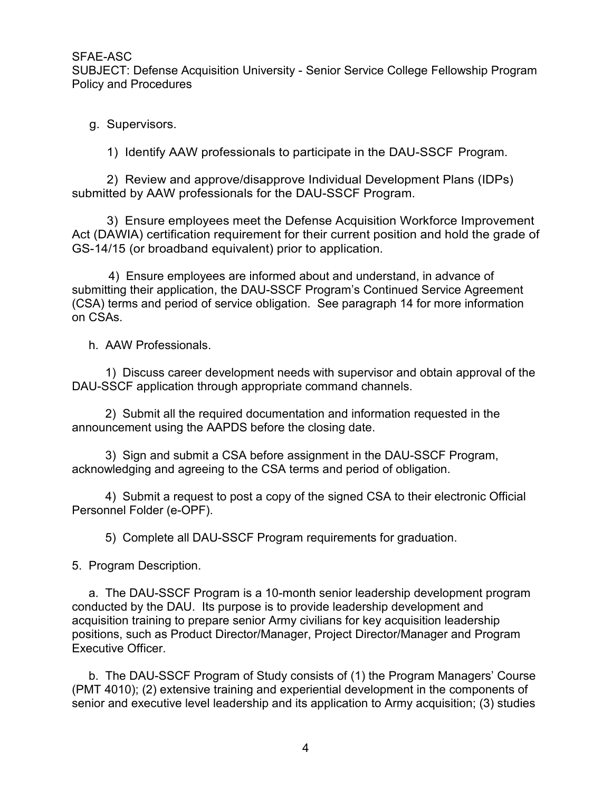SUBJECT: Defense Acquisition University - Senior Service College Fellowship Program Policy and Procedures AE-ASC<br>BJECT: Defense Acquisition University - Senior Service College I<br>icy and Procedures<br>g. Supervisors.<br>1) Identify AAW professionals to participate in the DAU-SS<br>2) Review and approve/disapprove Individual Developmen

submitted by AAW professionals for the DAU-SSCF Program.

1) Identify AAW professionals to participate in the DAU-SSCF Program.<br>1) Identify AAW professionals to participate in the DAU-SSCF Program.<br>2) Review and approve/disapprove Individual Development Plans (IDPs)<br>12) Review an ASC<br>
SCT: Defense Acquisition University - Senior Service College Fellowship Program<br>
3) Identify AAW professionals to participate in the DAU-SSCF Program.<br>
2) Review and approve/disapprove Individual Development Plans (ID Act (DAWIA) certification requirement for their current position and hold the grade of GS-14/15 (or broadband equivalent) prior to application.

ASC<br>
ASC<br>
CT: Defense Acquisition University - Senior Service College Fellowship Program<br>
All Procedures<br>
Supervisors.<br>
2) Review and approve/disapprove Individual Development Plans (IDPs)<br>
1ed by AAW professionals for the submitting their application, the DAU-SSCF Program's Continued Service Agreement (CSA) terms and period of service obligation. See paragraph 14 for more information on CSAs. g. Supervisors.<br>
1) Identify AAW professionals to participate in the DAU-SS<br>
2) Review and approve/disapprove Individual Developmer<br>
mitted by AAW professionals for the DAU-SSCF Program.<br>
3) Ensure employees meet the Defen Supervisors.<br>
1) Identify AAW professionals to participate in the DAU-SSCF Program.<br>
2) Review and approve/disapprove Individual Development Plans (IDPs)<br>
1ded by AAW professionals for the DAU-SSCF Program.<br>
3) Ensure empl 2) Review and approve/disapprove Individual Development Plans (IDPs)<br>2) Review and approve/disapprove Individual Development Plans (IDPs)<br>3) Ensure employees meet the Defense Acquisition Workforce Improvement<br>3) Ensure emp The Use of the Date of the Date of the Date of the No-SSSCF Program.<br>
3) Ensure employees meet the Defense Acquisition Workforce Improvement<br>
AWIA) certification requirement for their current position and hold the grade of A Figure to the proposes are informed to the content to deplication.<br>
4) Ensure employees are informed about and understand, in advance of<br>
4) Ensure employees are informed about and understand, in advance of<br>
terms and pe 4) Chistine employes are informed about and unlocation, in auvance of their application, the DAU-SSCF Program's Continued Service Agreement terms and period of service obligation. See paragraph 14 for more information As.<br>

DAU-SSCF application through appropriate command channels.

announcement using the AAPDS before the closing date.

acknowledging and agreeing to the CSA terms and period of obligation.

Personnel Folder (e-OPF).

(CO-OFT).<br>
The DAU-SSCF application through appropriate command channels.<br>
The Discuss career development needs with supervisor and obtain at<br>
DAU-SSCF application through appropriate command channels.<br>
2) Submit all the r h. AAW Professionals.<br>
1) Discuss career development needs with supervisor and obtain approval of the<br>
U-SSCF application through appropriate command channels.<br>
2) Submit all the required documentation and information requ conducted by the DAU. Its purpose is to provide leadership development and 1) Discuss career development needs with supervisor and obtain approval of the<br>
DAU-SSCF application through appropriate command channels.<br>
2) Submit all the required documentation and information requested in the<br>
announc positions, such as Product Director/Manager, Project Director/Manager and Program Executive Officer. 2, Subline an ine lequine to columentation and information requested in the DAU-SSCF Program,<br>3) Sign and submit a CSA before assignment in the DAU-SSCF Program,<br>mowledging and agreeing to the CSA terms and period of oblig (PMT 4010); (2) extensive training and experiential the POU-SSCF Program,<br>
acknowledging and agreeing to the CSA terms and period of obligation.<br>
4) Sugninit a request to post a copy of the signed CSA to their electronic O

senior and executive level leadership and its application to Army acquisition; (3) studies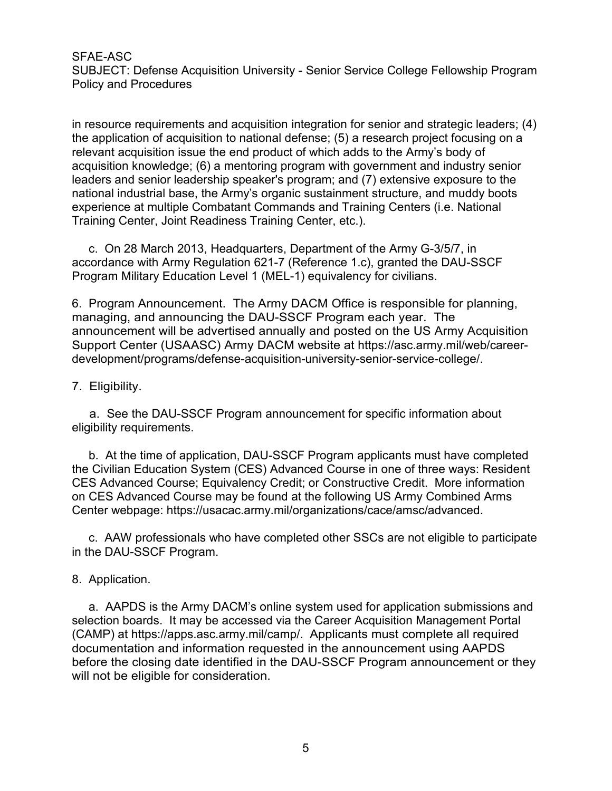SUBJECT: Defense Acquisition University - Senior Service College Fellowship Program Policy and Procedures

in resource requirements and acquisition integration for senior and strategic leaders; (4) the application of acquisition to national defense; (5) a research project focusing on a relevant acquisition issue the end product of which adds to the Army's body of acquisition knowledge; (6) a mentoring program with government and industry senior leaders and senior leadership speaker's program; and (7) extensive exposure to the national industrial base, the Army's organic sustainment structure, and muddy boots experience at multiple Combatant Commands and Training Centers (i.e. National Training Center, Joint Readiness Training Center, etc.). AE-ASC<br>BJECT: Defense Acquisition University - Senior Service College Fellowship Program<br>icy and Procedures<br>esource requirements and acquisition integration for senior and strategic leaders; (4)<br>application of acquisition SFAE-ASC<br>
SUBJECT: Defense Acquisition University - Senior Service College Fellowship Program<br>
Policy and Procedures<br>
in resource requirements and acquisition integration for senior and strategic leaders; (4)<br>
the applicat In resolute dependentials and acquisition to national defense; (5) a research pre-<br>the application of acquisition to national defense; (5) a research prelevant acquisition knowledge; (6) a mentoring program with government

accordance with Army Regulation 621-7 (Reference 1.c), granted the DAU-SSCF Program Military Education Level 1 (MEL-1) equivalency for civilians.

managing, and announcing the DAU-SSCF Program each year. The announcement will be advertised annually and posted on the US Army Acquisition Support Center (USAASC) Army DACM website at https://asc.army.mil/web/careerdevelopment/programs/defense-acquisition-university-senior-service-college/.

a. See the DAU-SSCF Program announcement for specific information about eligibility requirements.

ble minustain acset, the Attily solution, Dallar Sustainment Sutuation, and interactions and Training Centers (i.e. National<br>ining Center, Joint Readiness Training Center, etc.).<br>
C. On 28 March 2013, Headquarters, Departm the Civilian Education System (CES) Advanced Course in one of three ways: Resident CES Advanced Course; Equivalency Credit; or Constructive Credit. More information on CES Advanced Course may be found at the following US Army Combined Arms Center webpage: https://usacac.army.mil/organizations/cace/amsc/advanced. ryann will be a Amount Controller The Amy DACM Office is responsible for planning,<br>Program Announcement. The Amy DACM Office is responsible for planning,<br>maging, and announcing the DAU-SSCF Program each year. The<br>poport Ce mariaging, and amouncement will be advertised annually and posted on the Damouncement will be advertised annually and posted on the 1<br>Support Center (USAASC) Army DACM website at https://asc.<br>development/programs/defense-a

in the DAU-SSCF Program.

pport center (*USANSUS Patmy DACM's measure at inspaniso-caling-interpolater-*<br> *Pelopment/programs/defense-acquisition-university-senior-service-college/.*<br> *A. See the DAU-SSCF Program announcement for specific informati* Fraction boards. It may be accessed via the Care Acquisition about eligibility requirements.<br>
2. Eligibility requirements.<br>
2. At the time of application, DAU-SSCF Program applicants must have completed<br>
the Civilian Educa (CAMP) at https://apps.asc.army.mil/camp/. Applicants must complete all required documentation and information requested in the announcement using AAPDS before the closing date identified in the DAU-SSCF Program announcement or they will not be eligible for consideration.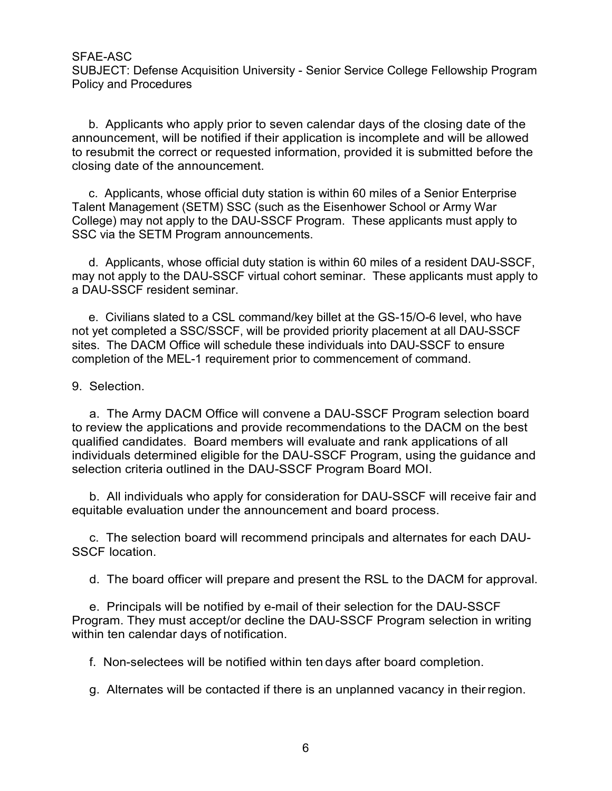SUBJECT: Defense Acquisition University - Senior Service College Fellowship Program Policy and Procedures

BJECT: Defense Acquisition University - Senior Service College Fellowship Program<br>icy and Procedures<br>b. Applicants who apply prior to seven calendar days of the closing date of the<br>nouncement, will be notified if their app announcement, will be notified if their application is incomplete and will be allowed to resubmit the correct or requested information, provided it is submitted before the closing date of the announcement. AE-ASC<br>BJECT: Defense Acquisition University - Senior Service College Fellowship Program<br>icy and Procedures<br>b. Applicants who apply prior to seven calendar days of the closing date of the<br>nouncement, will be notified if th AE-ASC<br>BJECT: Defense Acquisition University - Senior Service College Fellowship Program<br>Bicy and Procedures<br>to apply prior to seven calendar days of the closing date of the<br>resubmit the correct or requested information, p SFAE-ASC<br>SUBJECT: Defense Acquisition University - Senior Service College Fellowship Program<br>Policy and Procedures<br>
b. Applicants who apply prior to seven calendar days of the closing date of the<br>
announcement, will be not ACT-AST<br>BJECT: Defense Acquisition University - Senior Service College Fellowship Program<br>icy and Procedures<br>b. Applicants who apply prior to seven calendar days of the closing date of the<br>nouncement, will be notified if t

Talent Management (SETM) SSC (such as the Eisenhower School or Army War College) may not apply to the DAU-SSCF Program. These applicants must apply to SSC via the SETM Program announcements.

a DAU-SSCF resident seminar.

not yet completed a SSC/SSCF, will be provided priority placement at all DAU-SSCF sites. The DACM Office will schedule these individuals into DAU-SSCF to ensure completion of the MEL-1 requirement prior to commencement of command. Construction is wind apply prior to sever calcellation is incompleted and anonucement, will be notified if their application is incomplete to resubmit the correct or requested information, provided it is closing date of th

essuarint are correct or requisered information, provided it is submitted before the<br>sing date of the announcement.<br>C. Applicants, whose official duty station is within 60 miles of a Senior Enterprise<br>ent Management (SETM) to review the applications and provide recommendations to the DACM on the best qualified candidates. Board members will evaluate and rank applications of all individuals determined eligible for the DAU-SSCF Program, using the guidance and selection criteria outlined in the DAU-SSCF Program Board MOI. b. Applications and both and the BAU-SSCF endicated and process.<br>
All Applicants, whore official duty station is within 60 miles of a resident DAU-SSCF,<br>
yn ot apply to the DAU-SSCF virtual cohort seminar. These applicants of a corresponsion of the DAU-SSCF may bo a considerate and processor of AU-SSCF resident seminar. These applicants must apply a<br>e. Civilians slated to a CSL command/key billet at the GS-15/O-6 level, who have<br>yet complete E. Civitalis sated to a Cot Commatter we blies at a the Go-1,000 teret, will be provided priority placement at all DAU-SSCF<br>s. The DACM Office will schedule these individuals into DAU-SSCF to ensure<br>prepletion of the MEL-1 S. The DACW Office will scheene interest introducts him obver-scott to ensure<br>Selection.<br>a. The Army DACM Office will convene a DAU-SSCF Program selection board<br>eview the applications and provide recommendations to the DAC a. The Army DACM Office will convene a DAU-SSCF Program selection board<br>eview the applications and provide recommendations to the DACM on the best<br>alified candidates. Board members will evaluate and rank applications of al evew the applications and provide recommentionations for the DACM of relations of all<br>alified candidates. Board members will evaluate and rank applications of all<br>pividuals determined eligible for the DAU-SSCF Program, usi

equitable evaluation under the announcement and board process.

SSCF location.

Program. They must accept/or decline the DAU-SSCF Program selection in writing within ten calendar days of notification.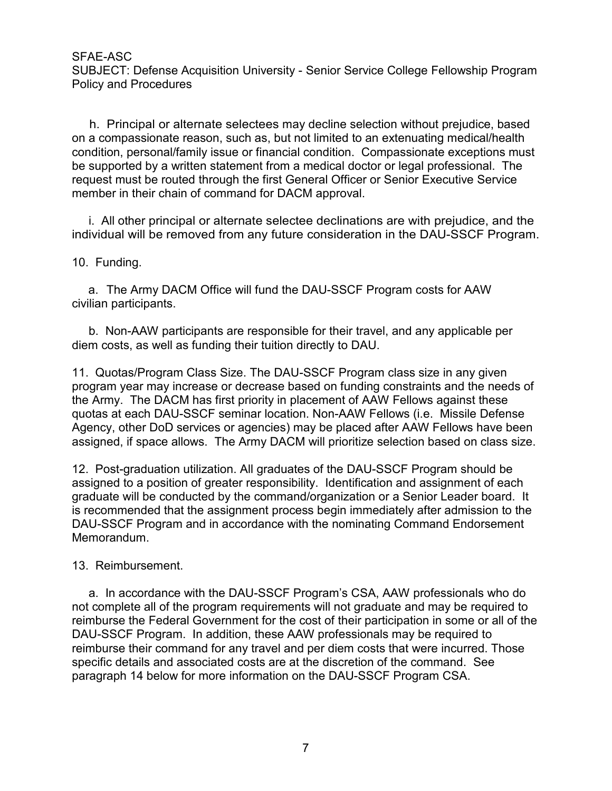SUBJECT: Defense Acquisition University - Senior Service College Fellowship Program Policy and Procedures

AE-ASC<br>BJECT: Defense Acquisition University - Senior Service College Fellowship Program<br>icy and Procedures<br>h. Principal or alternate selectees may decline selection without prejudice, based<br>a compassionate reason, such as on a compassionate reason, such as, but not limited to an extenuating medical/health condition, personal/family issue or financial condition. Compassionate exceptions must be supported by a written statement from a medical doctor or legal professional. The request must be routed through the first General Officer or Senior Executive Service SFAE-ASC<br>
SUBJECT: Defense Acquisition University - Senior Service College Fellc<br>
Policy and Procedures<br>
h. Principal or alternate selectees may decline selection without pron<br>
a compassionate reason, such as, but not limi **AE-ASC**<br>BJECT: Defense Acquisition University - Senior Service College Fellowship Program<br>icy and Procedures<br>
h. Principal or alternate selectees may decline selection without prejudice, based<br>
a compassionate reason, suc SFAE-ASC<br>
SUBJECT: Defense Acquisition University - Senior Service College<br>
Policy and Procedures<br>
h. Principal or alternate selectees may decline selection with<br>
on a compassionate reason, such as, but not limited to an e AE-ASC<br>BJECT: Defense Acquisition University - Senior Service College Fellowship Program<br>icy and Procedures<br>h. Principal or alternate selectees may decline selection without prejudice, based<br>a compassionate reason, such as b. Pricelist Acquisition University - Serior Service College Pellowship Program<br>Incy and Procedures<br>
A. Principal or alternate selectees may decline selection without prejudice, based<br>
acompassionate reason, such as, but n 1. Principal or alternate selectees may decline selection without prejudice, based<br>on a compassionate reason, such as, but not limited to an extenuating medical/health<br>condition, personal/family issue or financial conditio

individual will be removed from any future consideration in the DAU-SSCF Program.

civilian participants.

diem costs, as well as funding their tuition directly to DAU.

program year may increase or decrease based on funding constraints and the needs of the Army. The DACM has first priority in placement of AAW Fellows against these quotas at each DAU-SSCF seminar location. Non-AAW Fellows (i.e. Missile Defense Agency, other DoD services or agencies) may be placed after AAW Fellows have been assigned, if space allows. The Army DACM will prioritize selection based on class size. i. All other principal or alternate selectee declinations are with prejudice, and the<br>individual will be removed from any future consideration in the DAU-SSCF Program.<br>10. Funding.<br>
a. The Army DACM Office will fund the DA

assigned to a position of greater responsibility. Identification and assignment of each graduate will be conducted by the command/organization or a Senior Leader board. It is recommended that the assignment process begin immediately after admission to the DAU-SSCF Program and in accordance with the nominating Command Endorsement Memorandum. b. Non-AAW participants are responsible for their travel, and a<br>diem costs, as well as funding their tuition directly to DAU.<br>11. Quotas/Program Class Size. The DAU-SSCF Program class s<br>program year may increase or decreas between the multiplance are test-points of the tracket, and any applicable per modes, as well as funding their tuition directly to DAU.<br>
Clubas first priority in places are decrease based on funding constraints and the nee

not complete all of the program requirements will not graduate and may be required to reimburse the Federal Government for the cost of their participation in some or all of the DAU-SSCF Program. In addition, these AAW professionals may be required to reimburse their command for any travel and per diem costs that were incurred. Those specific details and associated costs are at the discretion of the command. See paragraph 14 below for more information on the DAU-SSCF Program CSA.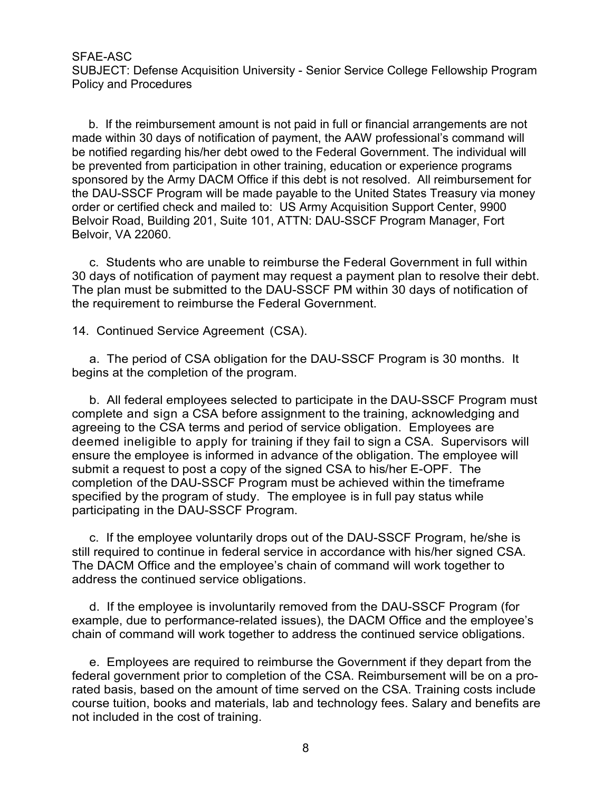SUBJECT: Defense Acquisition University - Senior Service College Fellowship Program Policy and Procedures

AE-ASC<br>BJECT: Defense Acquisition University - Senior Service College Fellowship Program<br>icy and Procedures<br>b. If the reimbursement amount is not paid in full or financial arrangements are not<br>notified regarding his/her de made within 30 days of notification of payment, the AAW professional's command will be notified regarding his/her debt owed to the Federal Government. The individual will SFAE-ASC<br>SUBJECT: Defense Acquisition University - Senior Service College Fellowship Program<br>Policy and Procedures<br>the in 30 days of notification of payment, the AAW professional's command will<br>be notified regarding his/he sponsored by the Army DACM Office if this debt is not resolved. All reimbursement for the DAU-SSCF Program will be made payable to the United States Treasury via money order or certified check and mailed to: US Army Acquisition Support Center, 9900 Belvoir Road, Building 201, Suite 101, ATTN: DAU-SSCF Program Manager, Fort Belvoir, VA 22060. AE-ASC<br>BJECT: Defense Acquisition University - Senior Service College Fellowship Program<br>Bicy and Procedures<br>to reimburse of notification of paynent, the AAW professional's command will<br>notified regarding his/her debt owed SUBJECT. Detense Acquisition University - Seriior Service College<br>
Policy and Procedures<br>
b. If the reimbursement amount is not paid in full or financial ar<br>
made within 30 days of notification of payment, the AAW professi b. If the reimbursement amount is not paid in full or financial arrangements are not<br>de within 30 days of notification of payment, the AAW professional's command will<br>notified regarding his/her debt owed to the Federal Gov Le whan it of requirement to real to the Fideral Government. The individual will<br>protified regarding his/her debt owed to the Federal Government. The individual will<br>prevented from participation in other training, educatio

30 days of notification of payment may request a payment plan to resolve their debt. The plan must be submitted to the DAU-SSCF PM within 30 days of notification of the requirement to reimburse the Federal Government.

begins at the completion of the program.

complete and sign a CSA before assignment to the training, acknowledging and agreeing to the CSA terms and period of service obligation. Employees are deemed ineligible to apply for training if they fail to sign a CSA. Supervisors will ensure the employee is informed in advance of the obligation. The employee will submit a request to post a copy of the signed CSA to his/her E-OPF. The completion of the DAU-SSCF Program must be achieved within the timeframe specified by the program of study. The employee is in full pay status while by a strongton of payment interaction of payment participation of the pain must be submitted to the DAU-SSCF PM within 30 days of notification of the requirement to reimburse the Federal Government.<br>
14. Continued Service a. The period of CSA obligation for the DAU-SSCF Program is 30 months. It<br>ins at the completion of the program.<br>
b. All federal employees selected to participate in the DAU-SSCF Program must<br>
heplete and sign a CSA before D. A meteral employees selected to paralique in the DAO-SOC rrotegarment of the CSA ten employes are employes are employes are employes informed of service obligation. Employes are the employes informed in advance of the o

still required to continue in federal service in accordance with his/her signed CSA. The DACM Office and the employee's chain of command will work together to address the continued service obligations.

example, due to performance-related issues), the DACM Office and the employee's chain of command will work together to address the continued service obligations.

federal government prior to completion of the CSA. Reimbursement will be on a prorated basis, based on the amount of time served on the CSA. Training costs include course tuition, books and materials, lab and technology fees. Salary and benefits are not included in the cost of training.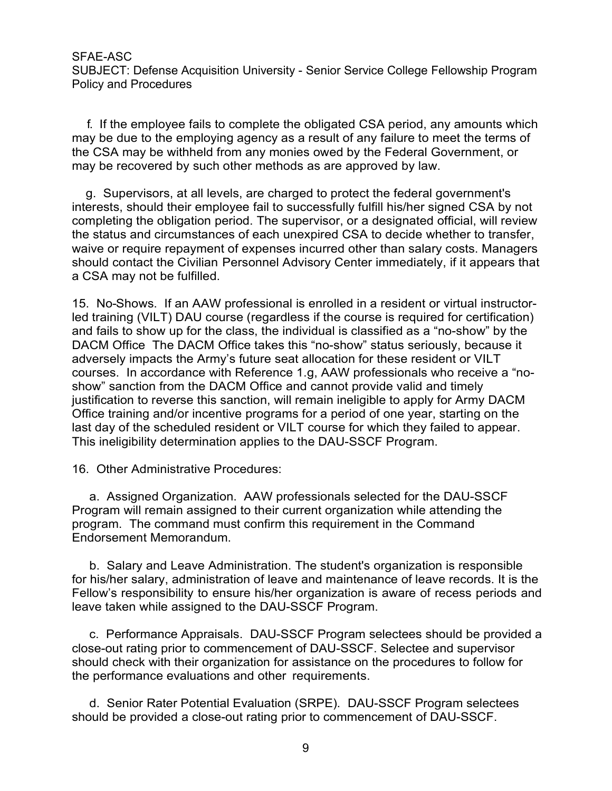SUBJECT: Defense Acquisition University - Senior Service College Fellowship Program Policy and Procedures

FRE-ASC<br>FRIECT: Defense Acquisition University - Senior Service College Fellowship Program<br>Iicy and Procedures<br>F. If the employee fails to complete the obligated CSA period, any amounts which<br>is due to the employing agency may be due to the employing agency as a result of any failure to meet the terms of the CSA may be withheld from any monies owed by the Federal Government, or may be recovered by such other methods as are approved by law.

AE-ASC<br>BJECT: Defense Acquisition University - Senior Service College Fellowship Program<br>licy and Procedures<br>1. If the employee fails to complete the obligated CSA period, any amounts which<br>ay be due to the employing agenc interests, should their employee fail to successfully fulfill his/her signed CSA by not completing the obligation period. The supervisor, or a designated official, will review the status and circumstances of each unexpired CSA to decide whether to transfer, waive or require repayment of expenses incurred other than salary costs. Managers should contact the Civilian Personnel Advisory Center immediately, if it appears that a CSA may not be fulfilled. SFAE-ASC<br>
SUBJECT: Defense Acquisition University - Senior Service College Fellowship Program<br>
Policy and Procedures<br>
1. If the employee fails to complete the obligated CSA period, any amounts which<br>
may be due to the empl

led training (VILT) DAU course (regardless if the course is required for certification) and fails to show up for the class, the individual is classified as a "no-show" by the DACM Office The DACM Office takes this "no-show" status seriously, because it adversely impacts the Army's future seat allocation for these resident or VILT courses. In accordance with Reference 1.g, AAW professionals who receive a "noshow" sanction from the DACM Office and cannot provide valid and timely justification to reverse this sanction, will remain ineligible to apply for Army DACM Office training and/or incentive programs for a period of one year, starting on the last day of the scheduled resident or VILT course for which they failed to appear. This ineligibility determination applies to the DAU-SSCF Program. meretss, showld their employee rain to successitury lumin instinct<br>completing the obligation period. The supervisor, or a designate<br>the status and circumstances of each unexpired CSA to decide<br>waive or require repayment of status and ucultant and the Cylliam and the Cyliam of the Cyliam and the Cyliam Person of expenses incurred other than slaty costs. Managers build contact the Civilian Personnel Advisory Center immediately, if it appears t Now the distance is a more to the case in the student is a model of certification)<br>
training (VILT) DAU course (regardless if the course is required for certification)<br>
CM Office The DACM Office takes this "no-show" status sies. In actorial methelic and carriere in the product with respect to the principle the principlication form the DACM Office and cannot provide valid and timely<br>tifraction for reverse this sanction, will remain ineligible sincular metallic expendible to apply for Army DACM<br>ustification to reverse this sanction, will remain ineligible to apply for Army DACM<br>Office training and/or incentive programs for a period of one year, starting on the<br>l

Program will remain assigned to their current organization while attending the program. The command must confirm this requirement in the Command Endorsement Memorandum.

for his/her salary, administration of leave and maintenance of leave records. It is the Fellow's responsibility to ensure his/her organization is aware of recess periods and leave taken while assigned to the DAU-SSCF Program.

Soluction to the the check with shall control with the performance of production to the product of the scheduled resident or VILT course for which they failed to appear.<br>This ineligibility determination applies to the DAUonce uraining anion interative programs of a performance interative and other sets. Satisfied to appear.<br>This ineligibility determination applies to the DAU-SSCF Program.<br>This ineligibility determination applies to the DAU s inengionity determination applies to the DAO-SSCF Program.<br>
20ther Administrative Procedures:<br>
a. Assigned Organization. AAW professionals selected for the DAU-SSCF<br>
gram. The command must confirm this requirement in the 16. Other Administrative Procedures:<br>
a. Assigned Organization. AAW professionals selected for the DAU-SSCF<br>
Program will remain assigned to their current organization while attending the<br>
grootenement The command must con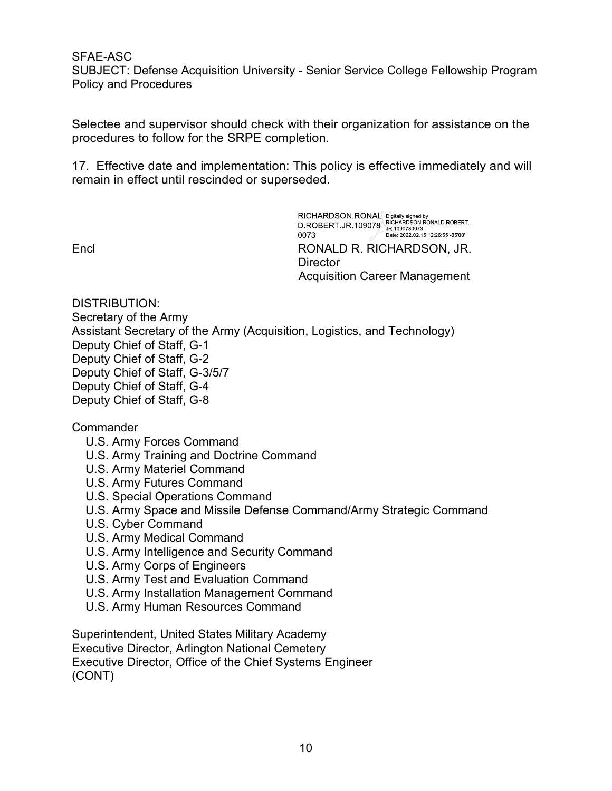SUBJECT: Defense Acquisition University - Senior Service College Fellowship Program Policy and Procedures SFAE-ASC<br>
SUBJECT: Defense Acquisition University - Senior Service College Fellowship Program<br>
Delicy and Procedures<br>
Selectee and supervisor should check with their organization for assistance on the<br>
procedures to follow

Selectee and supervisor should check with their organization for assistance on the procedures to follow for the SRPE completion.

remain in effect until rescinded or superseded.

Encl RONALD R. RICHARDSON, JR. **Director** Acquisition Career Management

DISTRIBUTION: Secretary of the Army Assistant Secretary of the Army (Acquisition, Logistics, and Technology) Deputy Chief of Staff, G-1 Deputy Chief of Staff, G-2 Deputy Chief of Staff, G-3/5/7 Deputy Chief of Staff, G-4 Deputy Chief of Staff, G-8

**Commander** 

- U.S. Army Forces Command
- U.S. Army Training and Doctrine Command
- U.S. Army Materiel Command
- U.S. Army Futures Command
- U.S. Special Operations Command
- U.S. Army Space and Missile Defense Command/Army Strategic Command
- U.S. Cyber Command
- U.S. Army Medical Command
- U.S. Army Intelligence and Security Command
- U.S. Army Corps of Engineers
- U.S. Army Test and Evaluation Command
- U.S. Army Installation Management Command
- U.S. Army Human Resources Command

Superintendent, United States Military Academy Executive Director, Arlington National Cemetery Executive Director, Office of the Chief Systems Engineer (CONT)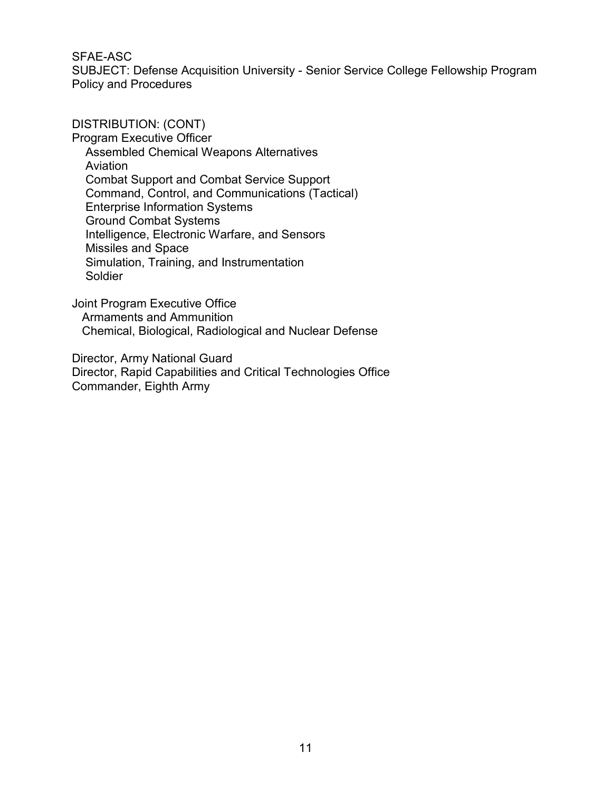SFAE-ASC<br>SUBJECT: Defense Acquisition University - Senior Service College Fellowship Program<br>Policy and Procedures<br>DISTRIBUTION: (CONT) Policy and Procedures

DISTRIBUTION: (CONT)

Program Executive Officer Assembled Chemical Weapons Alternatives Aviation Combat Support and Combat Service Support Command, Control, and Communications (Tactical) Enterprise Information Systems Ground Combat Systems Intelligence, Electronic Warfare, and Sensors Missiles and Space Simulation, Training, and Instrumentation Soldier

Joint Program Executive Office Armaments and Ammunition Chemical, Biological, Radiological and Nuclear Defense

Director, Army National Guard Director, Rapid Capabilities and Critical Technologies Office Commander, Eighth Army